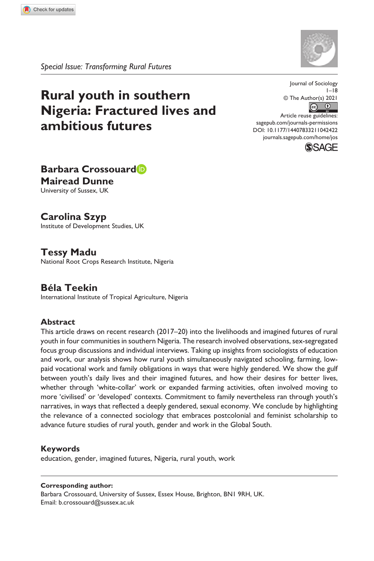*Special Issue: Transforming Rural Futures*

# **Rural youth in southern Nigeria: Fractured lives and ambitious futures**

Journal of Sociology  $1 - 18$ © The Author(s) 2021  $\overline{c}$   $\overline{0}$ 

https://doi.org/10.1177/14407833211042422 DOI: 10.1177/14407833211042422 Article reuse guidelines: [sagepub.com/journals-permissions](https://uk.sagepub.com/en-gb/journals-permissions) [journals.sagepub.com/home/jos](https://journals.sagepub.com/home/jos)



**Barbara Crossouard Mairead Dunne** University of Sussex, UK

# **Carolina Szyp**

Institute of Development Studies, UK

# **Tessy Madu**

National Root Crops Research Institute, Nigeria

# **Béla Teekin**

International Institute of Tropical Agriculture, Nigeria

## **Abstract**

This article draws on recent research (2017–20) into the livelihoods and imagined futures of rural youth in four communities in southern Nigeria. The research involved observations, sex-segregated focus group discussions and individual interviews. Taking up insights from sociologists of education and work, our analysis shows how rural youth simultaneously navigated schooling, farming, lowpaid vocational work and family obligations in ways that were highly gendered. We show the gulf between youth's daily lives and their imagined futures, and how their desires for better lives, whether through 'white-collar' work or expanded farming activities, often involved moving to more 'civilised' or 'developed' contexts. Commitment to family nevertheless ran through youth's narratives, in ways that reflected a deeply gendered, sexual economy. We conclude by highlighting the relevance of a connected sociology that embraces postcolonial and feminist scholarship to advance future studies of rural youth, gender and work in the Global South.

#### **Keywords**

education, gender, imagined futures, Nigeria, rural youth, work

#### **Corresponding author:**

Barbara Crossouard, University of Sussex, Essex House, Brighton, BN1 9RH, UK. Email: [b.crossouard@sussex.ac.uk](mailto:b.crossouard@sussex.ac.uk)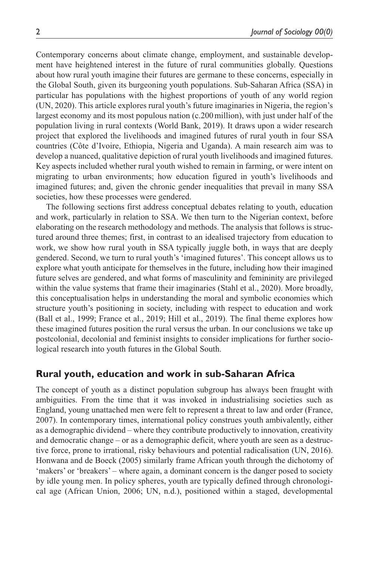Contemporary concerns about climate change, employment, and sustainable development have heightened interest in the future of rural communities globally. Questions about how rural youth imagine their futures are germane to these concerns, especially in the Global South, given its burgeoning youth populations. Sub-Saharan Africa (SSA) in particular has populations with the highest proportions of youth of any world region (UN, 2020). This article explores rural youth's future imaginaries in Nigeria, the region's largest economy and its most populous nation (c.200million), with just under half of the population living in rural contexts (World Bank, 2019). It draws upon a wider research project that explored the livelihoods and imagined futures of rural youth in four SSA countries (Côte d'Ivoire, Ethiopia, Nigeria and Uganda). A main research aim was to develop a nuanced, qualitative depiction of rural youth livelihoods and imagined futures. Key aspects included whether rural youth wished to remain in farming, or were intent on migrating to urban environments; how education figured in youth's livelihoods and imagined futures; and, given the chronic gender inequalities that prevail in many SSA societies, how these processes were gendered.

The following sections first address conceptual debates relating to youth, education and work, particularly in relation to SSA. We then turn to the Nigerian context, before elaborating on the research methodology and methods. The analysis that follows is structured around three themes; first, in contrast to an idealised trajectory from education to work, we show how rural youth in SSA typically juggle both, in ways that are deeply gendered. Second, we turn to rural youth's 'imagined futures'. This concept allows us to explore what youth anticipate for themselves in the future, including how their imagined future selves are gendered, and what forms of masculinity and femininity are privileged within the value systems that frame their imaginaries (Stahl et al., 2020). More broadly, this conceptualisation helps in understanding the moral and symbolic economies which structure youth's positioning in society, including with respect to education and work (Ball et al., 1999; France et al., 2019; Hill et al., 2019). The final theme explores how these imagined futures position the rural versus the urban. In our conclusions we take up postcolonial, decolonial and feminist insights to consider implications for further sociological research into youth futures in the Global South.

## **Rural youth, education and work in sub-Saharan Africa**

The concept of youth as a distinct population subgroup has always been fraught with ambiguities. From the time that it was invoked in industrialising societies such as England, young unattached men were felt to represent a threat to law and order (France, 2007). In contemporary times, international policy construes youth ambivalently, either as a demographic dividend – where they contribute productively to innovation, creativity and democratic change – or as a demographic deficit, where youth are seen as a destructive force, prone to irrational, risky behaviours and potential radicalisation (UN, 2016). Honwana and de Boeck (2005) similarly frame African youth through the dichotomy of 'makers' or 'breakers' – where again, a dominant concern is the danger posed to society by idle young men. In policy spheres, youth are typically defined through chronological age (African Union, 2006; UN, n.d.), positioned within a staged, developmental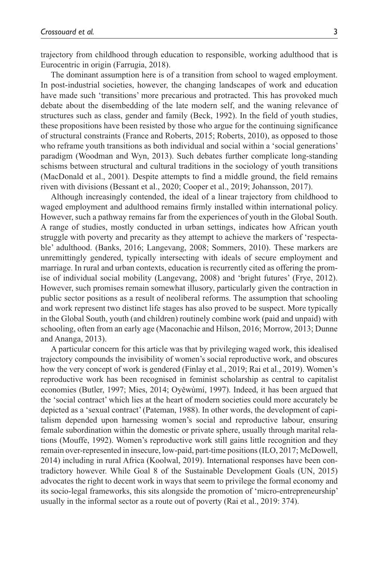trajectory from childhood through education to responsible, working adulthood that is Eurocentric in origin (Farrugia, 2018).

The dominant assumption here is of a transition from school to waged employment. In post-industrial societies, however, the changing landscapes of work and education have made such 'transitions' more precarious and protracted. This has provoked much debate about the disembedding of the late modern self, and the waning relevance of structures such as class, gender and family (Beck, 1992). In the field of youth studies, these propositions have been resisted by those who argue for the continuing significance of structural constraints (France and Roberts, 2015; Roberts, 2010), as opposed to those who reframe youth transitions as both individual and social within a 'social generations' paradigm (Woodman and Wyn, 2013). Such debates further complicate long-standing schisms between structural and cultural traditions in the sociology of youth transitions (MacDonald et al., 2001). Despite attempts to find a middle ground, the field remains riven with divisions (Bessant et al., 2020; Cooper et al., 2019; Johansson, 2017).

Although increasingly contended, the ideal of a linear trajectory from childhood to waged employment and adulthood remains firmly installed within international policy. However, such a pathway remains far from the experiences of youth in the Global South. A range of studies, mostly conducted in urban settings, indicates how African youth struggle with poverty and precarity as they attempt to achieve the markers of 'respectable' adulthood. (Banks, 2016; Langevang, 2008; Sommers, 2010). These markers are unremittingly gendered, typically intersecting with ideals of secure employment and marriage. In rural and urban contexts, education is recurrently cited as offering the promise of individual social mobility (Langevang, 2008) and 'bright futures' (Frye, 2012). However, such promises remain somewhat illusory, particularly given the contraction in public sector positions as a result of neoliberal reforms. The assumption that schooling and work represent two distinct life stages has also proved to be suspect. More typically in the Global South, youth (and children) routinely combine work (paid and unpaid) with schooling, often from an early age (Maconachie and Hilson, 2016; Morrow, 2013; Dunne and Ananga, 2013).

A particular concern for this article was that by privileging waged work, this idealised trajectory compounds the invisibility of women's social reproductive work, and obscures how the very concept of work is gendered (Finlay et al., 2019; Rai et al., 2019). Women's reproductive work has been recognised in feminist scholarship as central to capitalist economies (Butler, 1997; Mies, 2014; Oyěwùmí, 1997). Indeed, it has been argued that the 'social contract' which lies at the heart of modern societies could more accurately be depicted as a 'sexual contract' (Pateman, 1988). In other words, the development of capitalism depended upon harnessing women's social and reproductive labour, ensuring female subordination within the domestic or private sphere, usually through marital relations (Mouffe, 1992). Women's reproductive work still gains little recognition and they remain over-represented in insecure, low-paid, part-time positions (ILO, 2017; McDowell, 2014) including in rural Africa (Koolwal, 2019). International responses have been contradictory however. While Goal 8 of the Sustainable Development Goals (UN, 2015) advocates the right to decent work in ways that seem to privilege the formal economy and its socio-legal frameworks, this sits alongside the promotion of 'micro-entrepreneurship' usually in the informal sector as a route out of poverty (Rai et al., 2019: 374).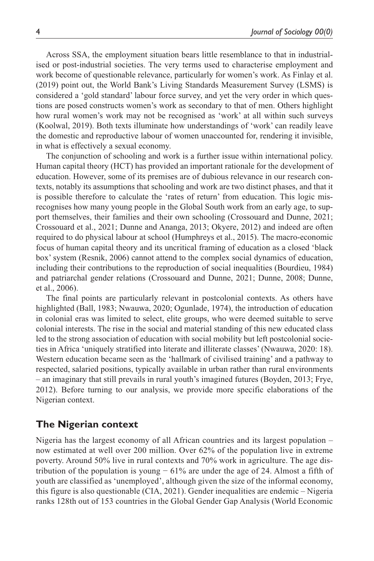Across SSA, the employment situation bears little resemblance to that in industrialised or post-industrial societies. The very terms used to characterise employment and work become of questionable relevance, particularly for women's work. As Finlay et al. (2019) point out, the World Bank's Living Standards Measurement Survey (LSMS) is considered a 'gold standard' labour force survey, and yet the very order in which questions are posed constructs women's work as secondary to that of men. Others highlight how rural women's work may not be recognised as 'work' at all within such surveys (Koolwal, 2019). Both texts illuminate how understandings of 'work' can readily leave the domestic and reproductive labour of women unaccounted for, rendering it invisible, in what is effectively a sexual economy.

The conjunction of schooling and work is a further issue within international policy. Human capital theory (HCT) has provided an important rationale for the development of education. However, some of its premises are of dubious relevance in our research contexts, notably its assumptions that schooling and work are two distinct phases, and that it is possible therefore to calculate the 'rates of return' from education. This logic misrecognises how many young people in the Global South work from an early age, to support themselves, their families and their own schooling (Crossouard and Dunne, 2021; Crossouard et al., 2021; Dunne and Ananga, 2013; Okyere, 2012) and indeed are often required to do physical labour at school (Humphreys et al., 2015). The macro-economic focus of human capital theory and its uncritical framing of education as a closed 'black box' system (Resnik, 2006) cannot attend to the complex social dynamics of education, including their contributions to the reproduction of social inequalities (Bourdieu, 1984) and patriarchal gender relations (Crossouard and Dunne, 2021; Dunne, 2008; Dunne, et al., 2006).

The final points are particularly relevant in postcolonial contexts. As others have highlighted (Ball, 1983; Nwauwa, 2020; Ogunlade, 1974), the introduction of education in colonial eras was limited to select, elite groups, who were deemed suitable to serve colonial interests. The rise in the social and material standing of this new educated class led to the strong association of education with social mobility but left postcolonial societies in Africa 'uniquely stratified into literate and illiterate classes' (Nwauwa, 2020: 18). Western education became seen as the 'hallmark of civilised training' and a pathway to respected, salaried positions, typically available in urban rather than rural environments – an imaginary that still prevails in rural youth's imagined futures (Boyden, 2013; Frye, 2012). Before turning to our analysis, we provide more specific elaborations of the Nigerian context.

## **The Nigerian context**

Nigeria has the largest economy of all African countries and its largest population – now estimated at well over 200 million. Over 62% of the population live in extreme poverty. Around 50% live in rural contexts and 70% work in agriculture. The age distribution of the population is young  $-61\%$  are under the age of 24. Almost a fifth of youth are classified as 'unemployed', although given the size of the informal economy, this figure is also questionable (CIA, 2021). Gender inequalities are endemic – Nigeria ranks 128th out of 153 countries in the Global Gender Gap Analysis (World Economic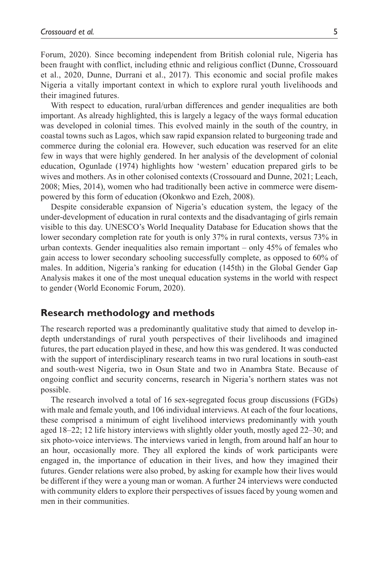Forum, 2020). Since becoming independent from British colonial rule, Nigeria has been fraught with conflict, including ethnic and religious conflict (Dunne, Crossouard et al., 2020, Dunne, Durrani et al., 2017). This economic and social profile makes Nigeria a vitally important context in which to explore rural youth livelihoods and their imagined futures.

With respect to education, rural/urban differences and gender inequalities are both important. As already highlighted, this is largely a legacy of the ways formal education was developed in colonial times. This evolved mainly in the south of the country, in coastal towns such as Lagos, which saw rapid expansion related to burgeoning trade and commerce during the colonial era. However, such education was reserved for an elite few in ways that were highly gendered. In her analysis of the development of colonial education, Ogunlade (1974) highlights how 'western' education prepared girls to be wives and mothers. As in other colonised contexts (Crossouard and Dunne, 2021; Leach, 2008; Mies, 2014), women who had traditionally been active in commerce were disempowered by this form of education (Okonkwo and Ezeh, 2008).

Despite considerable expansion of Nigeria's education system, the legacy of the under-development of education in rural contexts and the disadvantaging of girls remain visible to this day. UNESCO's World Inequality Database for Education shows that the lower secondary completion rate for youth is only 37% in rural contexts, versus 73% in urban contexts. Gender inequalities also remain important – only 45% of females who gain access to lower secondary schooling successfully complete, as opposed to 60% of males. In addition, Nigeria's ranking for education (145th) in the Global Gender Gap Analysis makes it one of the most unequal education systems in the world with respect to gender (World Economic Forum, 2020).

### **Research methodology and methods**

The research reported was a predominantly qualitative study that aimed to develop indepth understandings of rural youth perspectives of their livelihoods and imagined futures, the part education played in these, and how this was gendered. It was conducted with the support of interdisciplinary research teams in two rural locations in south-east and south-west Nigeria, two in Osun State and two in Anambra State. Because of ongoing conflict and security concerns, research in Nigeria's northern states was not possible.

The research involved a total of 16 sex-segregated focus group discussions (FGDs) with male and female youth, and 106 individual interviews. At each of the four locations, these comprised a minimum of eight livelihood interviews predominantly with youth aged 18–22; 12 life history interviews with slightly older youth, mostly aged 22–30; and six photo-voice interviews. The interviews varied in length, from around half an hour to an hour, occasionally more. They all explored the kinds of work participants were engaged in, the importance of education in their lives, and how they imagined their futures. Gender relations were also probed, by asking for example how their lives would be different if they were a young man or woman. A further 24 interviews were conducted with community elders to explore their perspectives of issues faced by young women and men in their communities.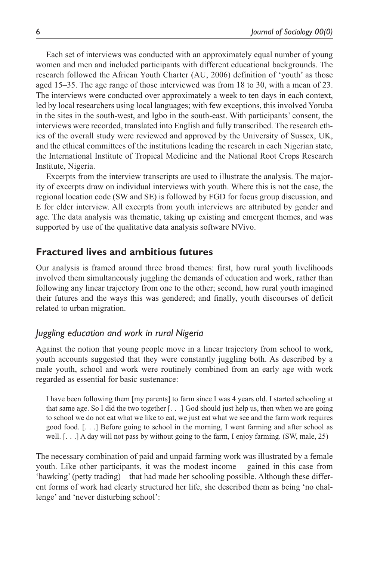Each set of interviews was conducted with an approximately equal number of young women and men and included participants with different educational backgrounds. The research followed the African Youth Charter (AU, 2006) definition of 'youth' as those aged 15–35. The age range of those interviewed was from 18 to 30, with a mean of 23. The interviews were conducted over approximately a week to ten days in each context, led by local researchers using local languages; with few exceptions, this involved Yoruba in the sites in the south-west, and Igbo in the south-east. With participants' consent, the interviews were recorded, translated into English and fully transcribed. The research ethics of the overall study were reviewed and approved by the University of Sussex, UK, and the ethical committees of the institutions leading the research in each Nigerian state, the International Institute of Tropical Medicine and the National Root Crops Research Institute, Nigeria.

Excerpts from the interview transcripts are used to illustrate the analysis. The majority of excerpts draw on individual interviews with youth. Where this is not the case, the regional location code (SW and SE) is followed by FGD for focus group discussion, and E for elder interview. All excerpts from youth interviews are attributed by gender and age. The data analysis was thematic, taking up existing and emergent themes, and was supported by use of the qualitative data analysis software NVivo.

### **Fractured lives and ambitious futures**

Our analysis is framed around three broad themes: first, how rural youth livelihoods involved them simultaneously juggling the demands of education and work, rather than following any linear trajectory from one to the other; second, how rural youth imagined their futures and the ways this was gendered; and finally, youth discourses of deficit related to urban migration.

## *Juggling education and work in rural Nigeria*

Against the notion that young people move in a linear trajectory from school to work, youth accounts suggested that they were constantly juggling both. As described by a male youth, school and work were routinely combined from an early age with work regarded as essential for basic sustenance:

I have been following them [my parents] to farm since I was 4 years old. I started schooling at that same age. So I did the two together [. . .] God should just help us, then when we are going to school we do not eat what we like to eat, we just eat what we see and the farm work requires good food. [. . .] Before going to school in the morning, I went farming and after school as well. [. . .] A day will not pass by without going to the farm, I enjoy farming. (SW, male, 25)

The necessary combination of paid and unpaid farming work was illustrated by a female youth. Like other participants, it was the modest income – gained in this case from 'hawking' (petty trading) – that had made her schooling possible. Although these different forms of work had clearly structured her life, she described them as being 'no challenge' and 'never disturbing school':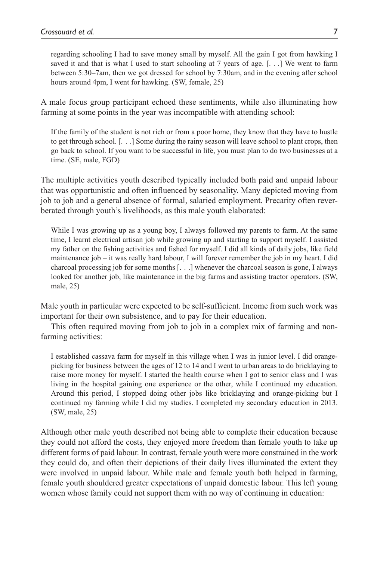regarding schooling I had to save money small by myself. All the gain I got from hawking I saved it and that is what I used to start schooling at 7 years of age. [. . .] We went to farm between 5:30–7am, then we got dressed for school by 7:30am, and in the evening after school hours around 4pm, I went for hawking. (SW, female, 25)

A male focus group participant echoed these sentiments, while also illuminating how farming at some points in the year was incompatible with attending school:

If the family of the student is not rich or from a poor home, they know that they have to hustle to get through school. [. . .] Some during the rainy season will leave school to plant crops, then go back to school. If you want to be successful in life, you must plan to do two businesses at a time. (SE, male, FGD)

The multiple activities youth described typically included both paid and unpaid labour that was opportunistic and often influenced by seasonality. Many depicted moving from job to job and a general absence of formal, salaried employment. Precarity often reverberated through youth's livelihoods, as this male youth elaborated:

While I was growing up as a young boy, I always followed my parents to farm. At the same time, I learnt electrical artisan job while growing up and starting to support myself. I assisted my father on the fishing activities and fished for myself. I did all kinds of daily jobs, like field maintenance job – it was really hard labour, I will forever remember the job in my heart. I did charcoal processing job for some months [. . .] whenever the charcoal season is gone, I always looked for another job, like maintenance in the big farms and assisting tractor operators. (SW, male, 25)

Male youth in particular were expected to be self-sufficient. Income from such work was important for their own subsistence, and to pay for their education.

This often required moving from job to job in a complex mix of farming and nonfarming activities:

I established cassava farm for myself in this village when I was in junior level. I did orangepicking for business between the ages of 12 to 14 and I went to urban areas to do bricklaying to raise more money for myself. I started the health course when I got to senior class and I was living in the hospital gaining one experience or the other, while I continued my education. Around this period, I stopped doing other jobs like bricklaying and orange-picking but I continued my farming while I did my studies. I completed my secondary education in 2013. (SW, male, 25)

Although other male youth described not being able to complete their education because they could not afford the costs, they enjoyed more freedom than female youth to take up different forms of paid labour. In contrast, female youth were more constrained in the work they could do, and often their depictions of their daily lives illuminated the extent they were involved in unpaid labour. While male and female youth both helped in farming, female youth shouldered greater expectations of unpaid domestic labour. This left young women whose family could not support them with no way of continuing in education: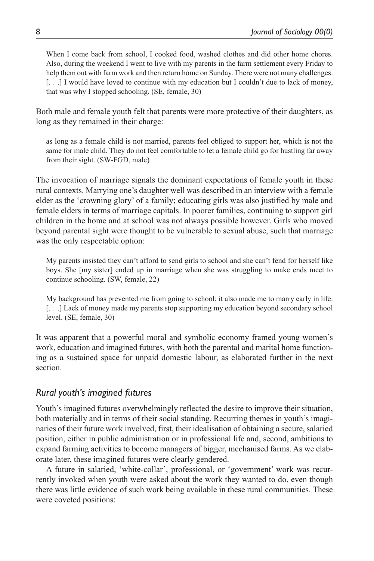When I come back from school, I cooked food, washed clothes and did other home chores. Also, during the weekend I went to live with my parents in the farm settlement every Friday to help them out with farm work and then return home on Sunday. There were not many challenges. [. . .] I would have loved to continue with my education but I couldn't due to lack of money, that was why I stopped schooling. (SE, female, 30)

Both male and female youth felt that parents were more protective of their daughters, as long as they remained in their charge:

as long as a female child is not married, parents feel obliged to support her, which is not the same for male child. They do not feel comfortable to let a female child go for hustling far away from their sight. (SW-FGD, male)

The invocation of marriage signals the dominant expectations of female youth in these rural contexts. Marrying one's daughter well was described in an interview with a female elder as the 'crowning glory' of a family; educating girls was also justified by male and female elders in terms of marriage capitals. In poorer families, continuing to support girl children in the home and at school was not always possible however. Girls who moved beyond parental sight were thought to be vulnerable to sexual abuse, such that marriage was the only respectable option:

My parents insisted they can't afford to send girls to school and she can't fend for herself like boys. She [my sister] ended up in marriage when she was struggling to make ends meet to continue schooling. (SW, female, 22)

My background has prevented me from going to school; it also made me to marry early in life. [. . .] Lack of money made my parents stop supporting my education beyond secondary school level. (SE, female, 30)

It was apparent that a powerful moral and symbolic economy framed young women's work, education and imagined futures, with both the parental and marital home functioning as a sustained space for unpaid domestic labour, as elaborated further in the next section.

## *Rural youth's imagined futures*

Youth's imagined futures overwhelmingly reflected the desire to improve their situation, both materially and in terms of their social standing. Recurring themes in youth's imaginaries of their future work involved, first, their idealisation of obtaining a secure, salaried position, either in public administration or in professional life and, second, ambitions to expand farming activities to become managers of bigger, mechanised farms. As we elaborate later, these imagined futures were clearly gendered.

A future in salaried, 'white-collar', professional, or 'government' work was recurrently invoked when youth were asked about the work they wanted to do, even though there was little evidence of such work being available in these rural communities. These were coveted positions: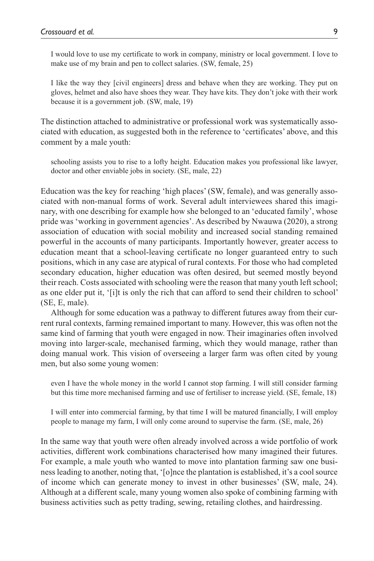I would love to use my certificate to work in company, ministry or local government. I love to make use of my brain and pen to collect salaries. (SW, female, 25)

I like the way they [civil engineers] dress and behave when they are working. They put on gloves, helmet and also have shoes they wear. They have kits. They don't joke with their work because it is a government job. (SW, male, 19)

The distinction attached to administrative or professional work was systematically associated with education, as suggested both in the reference to 'certificates' above, and this comment by a male youth:

schooling assists you to rise to a lofty height. Education makes you professional like lawyer, doctor and other enviable jobs in society. (SE, male, 22)

Education was the key for reaching 'high places' (SW, female), and was generally associated with non-manual forms of work. Several adult interviewees shared this imaginary, with one describing for example how she belonged to an 'educated family', whose pride was 'working in government agencies'. As described by Nwauwa (2020), a strong association of education with social mobility and increased social standing remained powerful in the accounts of many participants. Importantly however, greater access to education meant that a school-leaving certificate no longer guaranteed entry to such positions, which in any case are atypical of rural contexts. For those who had completed secondary education, higher education was often desired, but seemed mostly beyond their reach. Costs associated with schooling were the reason that many youth left school; as one elder put it, '[i]t is only the rich that can afford to send their children to school' (SE, E, male).

Although for some education was a pathway to different futures away from their current rural contexts, farming remained important to many. However, this was often not the same kind of farming that youth were engaged in now. Their imaginaries often involved moving into larger-scale, mechanised farming, which they would manage, rather than doing manual work. This vision of overseeing a larger farm was often cited by young men, but also some young women:

even I have the whole money in the world I cannot stop farming. I will still consider farming but this time more mechanised farming and use of fertiliser to increase yield. (SE, female, 18)

I will enter into commercial farming, by that time I will be matured financially, I will employ people to manage my farm, I will only come around to supervise the farm. (SE, male, 26)

In the same way that youth were often already involved across a wide portfolio of work activities, different work combinations characterised how many imagined their futures. For example, a male youth who wanted to move into plantation farming saw one business leading to another, noting that, '[o]nce the plantation is established, it's a cool source of income which can generate money to invest in other businesses' (SW, male, 24). Although at a different scale, many young women also spoke of combining farming with business activities such as petty trading, sewing, retailing clothes, and hairdressing.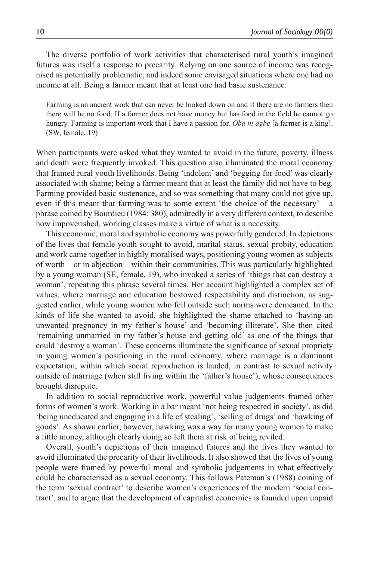The diverse portfolio of work activities that characterised rural youth's imagined futures was itself a response to precarity. Relying on one source of income was recognised as potentially problematic, and indeed some envisaged situations where one had no income at all. Being a farmer meant that at least one had basic sustenance:

Farming is an ancient work that can never be looked down on and if there are no farmers then there will be no food. If a farmer does not have money but has food in the field he cannot go hungry. Farming is important work that I have a passion for. *Oba ni agbe* [a farmer is a king]. (SW, female, 19)

When participants were asked what they wanted to avoid in the future, poverty, illness and death were frequently invoked. This question also illuminated the moral economy that framed rural youth livelihoods. Being 'indolent' and 'begging for food' was clearly associated with shame; being a farmer meant that at least the family did not have to beg. Farming provided basic sustenance, and so was something that many could not give up, even if this meant that farming was to some extent 'the choice of the necessary' – a phrase coined by Bourdieu (1984: 380), admittedly in a very different context, to describe how impoverished, working classes make a virtue of what is a necessity.

This economic, moral and symbolic economy was powerfully gendered. In depictions of the lives that female youth sought to avoid, marital status, sexual probity, education and work came together in highly moralised ways, positioning young women as subjects of worth – or in abjection – within their communities. This was particularly highlighted by a young woman (SE, female, 19), who invoked a series of 'things that can destroy a woman', repeating this phrase several times. Her account highlighted a complex set of values, where marriage and education bestowed respectability and distinction, as suggested earlier, while young women who fell outside such norms were demeaned. In the kinds of life she wanted to avoid, she highlighted the shame attached to 'having an unwanted pregnancy in my father's house' and 'becoming illiterate'. She then cited 'remaining unmarried in my father's house and getting old' as one of the things that could 'destroy a woman'. These concerns illuminate the significance of sexual propriety in young women's positioning in the rural economy, where marriage is a dominant expectation, within which social reproduction is lauded, in contrast to sexual activity outside of marriage (when still living within the 'father's house'), whose consequences brought disrepute.

In addition to social reproductive work, powerful value judgements framed other forms of women's work. Working in a bar meant 'not being respected in society', as did 'being uneducated and engaging in a life of stealing', 'selling of drugs' and 'hawking of goods'. As shown earlier, however, hawking was a way for many young women to make a little money, although clearly doing so left them at risk of being reviled.

Overall, youth's depictions of their imagined futures and the lives they wanted to avoid illuminated the precarity of their livelihoods. It also showed that the lives of young people were framed by powerful moral and symbolic judgements in what effectively could be characterised as a sexual economy. This follows Pateman's (1988) coining of the term 'sexual contract' to describe women's experiences of the modern 'social contract', and to argue that the development of capitalist economies is founded upon unpaid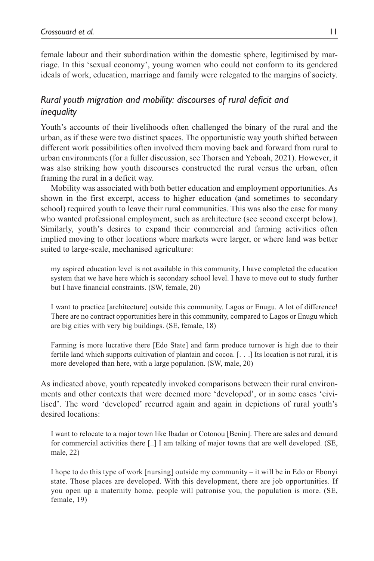female labour and their subordination within the domestic sphere, legitimised by marriage. In this 'sexual economy', young women who could not conform to its gendered ideals of work, education, marriage and family were relegated to the margins of society.

## *Rural youth migration and mobility: discourses of rural deficit and inequality*

Youth's accounts of their livelihoods often challenged the binary of the rural and the urban, as if these were two distinct spaces. The opportunistic way youth shifted between different work possibilities often involved them moving back and forward from rural to urban environments (for a fuller discussion, see Thorsen and Yeboah, 2021). However, it was also striking how youth discourses constructed the rural versus the urban, often framing the rural in a deficit way.

Mobility was associated with both better education and employment opportunities. As shown in the first excerpt, access to higher education (and sometimes to secondary school) required youth to leave their rural communities. This was also the case for many who wanted professional employment, such as architecture (see second excerpt below). Similarly, youth's desires to expand their commercial and farming activities often implied moving to other locations where markets were larger, or where land was better suited to large-scale, mechanised agriculture:

my aspired education level is not available in this community, I have completed the education system that we have here which is secondary school level. I have to move out to study further but I have financial constraints. (SW, female, 20)

I want to practice [architecture] outside this community. Lagos or Enugu. A lot of difference! There are no contract opportunities here in this community, compared to Lagos or Enugu which are big cities with very big buildings. (SE, female, 18)

Farming is more lucrative there [Edo State] and farm produce turnover is high due to their fertile land which supports cultivation of plantain and cocoa. [. . .] Its location is not rural, it is more developed than here, with a large population. (SW, male, 20)

As indicated above, youth repeatedly invoked comparisons between their rural environments and other contexts that were deemed more 'developed', or in some cases 'civilised'. The word 'developed' recurred again and again in depictions of rural youth's desired locations:

I want to relocate to a major town like Ibadan or Cotonou [Benin]. There are sales and demand for commercial activities there [..] I am talking of major towns that are well developed. (SE, male, 22)

I hope to do this type of work [nursing] outside my community – it will be in Edo or Ebonyi state. Those places are developed. With this development, there are job opportunities. If you open up a maternity home, people will patronise you, the population is more. (SE, female, 19)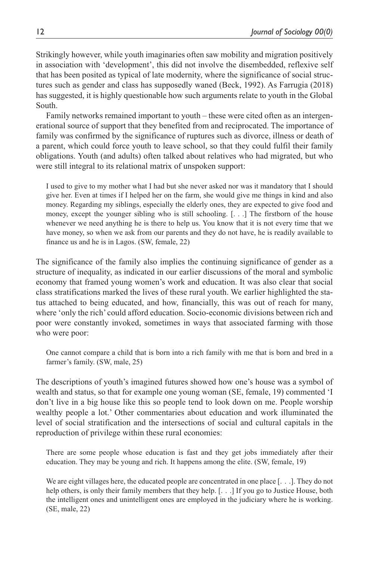Strikingly however, while youth imaginaries often saw mobility and migration positively in association with 'development', this did not involve the disembedded, reflexive self that has been posited as typical of late modernity, where the significance of social structures such as gender and class has supposedly waned (Beck, 1992). As Farrugia (2018) has suggested, it is highly questionable how such arguments relate to youth in the Global South.

Family networks remained important to youth – these were cited often as an intergenerational source of support that they benefited from and reciprocated. The importance of family was confirmed by the significance of ruptures such as divorce, illness or death of a parent, which could force youth to leave school, so that they could fulfil their family obligations. Youth (and adults) often talked about relatives who had migrated, but who were still integral to its relational matrix of unspoken support:

I used to give to my mother what I had but she never asked nor was it mandatory that I should give her. Even at times if I helped her on the farm, she would give me things in kind and also money. Regarding my siblings, especially the elderly ones, they are expected to give food and money, except the younger sibling who is still schooling. [. . .] The firstborn of the house whenever we need anything he is there to help us. You know that it is not every time that we have money, so when we ask from our parents and they do not have, he is readily available to finance us and he is in Lagos. (SW, female, 22)

The significance of the family also implies the continuing significance of gender as a structure of inequality, as indicated in our earlier discussions of the moral and symbolic economy that framed young women's work and education. It was also clear that social class stratifications marked the lives of these rural youth. We earlier highlighted the status attached to being educated, and how, financially, this was out of reach for many, where 'only the rich' could afford education. Socio-economic divisions between rich and poor were constantly invoked, sometimes in ways that associated farming with those who were poor:

One cannot compare a child that is born into a rich family with me that is born and bred in a farmer's family. (SW, male, 25)

The descriptions of youth's imagined futures showed how one's house was a symbol of wealth and status, so that for example one young woman (SE, female, 19) commented 'I don't live in a big house like this so people tend to look down on me. People worship wealthy people a lot.' Other commentaries about education and work illuminated the level of social stratification and the intersections of social and cultural capitals in the reproduction of privilege within these rural economies:

There are some people whose education is fast and they get jobs immediately after their education. They may be young and rich. It happens among the elite. (SW, female, 19)

We are eight villages here, the educated people are concentrated in one place [. . .]. They do not help others, is only their family members that they help. [. . .] If you go to Justice House, both the intelligent ones and unintelligent ones are employed in the judiciary where he is working. (SE, male, 22)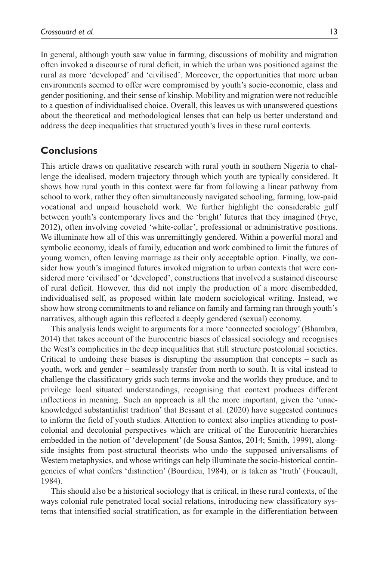In general, although youth saw value in farming, discussions of mobility and migration often invoked a discourse of rural deficit, in which the urban was positioned against the rural as more 'developed' and 'civilised'. Moreover, the opportunities that more urban environments seemed to offer were compromised by youth's socio-economic, class and gender positioning, and their sense of kinship. Mobility and migration were not reducible to a question of individualised choice. Overall, this leaves us with unanswered questions about the theoretical and methodological lenses that can help us better understand and address the deep inequalities that structured youth's lives in these rural contexts.

## **Conclusions**

This article draws on qualitative research with rural youth in southern Nigeria to challenge the idealised, modern trajectory through which youth are typically considered. It shows how rural youth in this context were far from following a linear pathway from school to work, rather they often simultaneously navigated schooling, farming, low-paid vocational and unpaid household work. We further highlight the considerable gulf between youth's contemporary lives and the 'bright' futures that they imagined (Frye, 2012), often involving coveted 'white-collar', professional or administrative positions. We illuminate how all of this was unremittingly gendered. Within a powerful moral and symbolic economy, ideals of family, education and work combined to limit the futures of young women, often leaving marriage as their only acceptable option. Finally, we consider how youth's imagined futures invoked migration to urban contexts that were considered more 'civilised' or 'developed', constructions that involved a sustained discourse of rural deficit. However, this did not imply the production of a more disembedded, individualised self, as proposed within late modern sociological writing. Instead, we show how strong commitments to and reliance on family and farming ran through youth's narratives, although again this reflected a deeply gendered (sexual) economy.

This analysis lends weight to arguments for a more 'connected sociology' (Bhambra, 2014) that takes account of the Eurocentric biases of classical sociology and recognises the West's complicities in the deep inequalities that still structure postcolonial societies. Critical to undoing these biases is disrupting the assumption that concepts – such as youth, work and gender – seamlessly transfer from north to south. It is vital instead to challenge the classificatory grids such terms invoke and the worlds they produce, and to privilege local situated understandings, recognising that context produces different inflections in meaning. Such an approach is all the more important, given the 'unacknowledged substantialist tradition' that Bessant et al. (2020) have suggested continues to inform the field of youth studies. Attention to context also implies attending to postcolonial and decolonial perspectives which are critical of the Eurocentric hierarchies embedded in the notion of 'development' (de Sousa Santos, 2014; Smith, 1999), alongside insights from post-structural theorists who undo the supposed universalisms of Western metaphysics, and whose writings can help illuminate the socio-historical contingencies of what confers 'distinction' (Bourdieu, 1984), or is taken as 'truth' (Foucault, 1984).

This should also be a historical sociology that is critical, in these rural contexts, of the ways colonial rule penetrated local social relations, introducing new classificatory systems that intensified social stratification, as for example in the differentiation between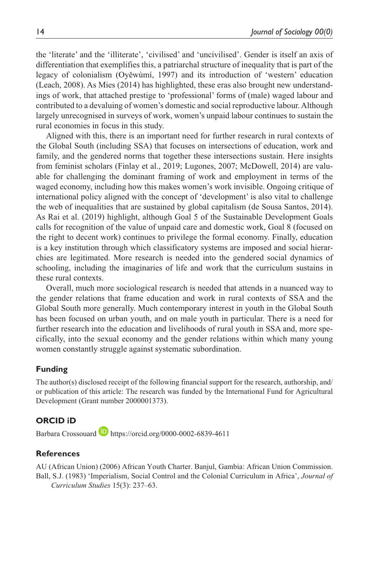the 'literate' and the 'illiterate', 'civilised' and 'uncivilised'. Gender is itself an axis of differentiation that exemplifies this, a patriarchal structure of inequality that is part of the legacy of colonialism (Oyěwùmí, 1997) and its introduction of 'western' education (Leach, 2008). As Mies (2014) has highlighted, these eras also brought new understandings of work, that attached prestige to 'professional' forms of (male) waged labour and contributed to a devaluing of women's domestic and social reproductive labour. Although largely unrecognised in surveys of work, women's unpaid labour continues to sustain the rural economies in focus in this study.

Aligned with this, there is an important need for further research in rural contexts of the Global South (including SSA) that focuses on intersections of education, work and family, and the gendered norms that together these intersections sustain. Here insights from feminist scholars (Finlay et al., 2019; Lugones, 2007; McDowell, 2014) are valuable for challenging the dominant framing of work and employment in terms of the waged economy, including how this makes women's work invisible. Ongoing critique of international policy aligned with the concept of 'development' is also vital to challenge the web of inequalities that are sustained by global capitalism (de Sousa Santos, 2014). As Rai et al. (2019) highlight, although Goal 5 of the Sustainable Development Goals calls for recognition of the value of unpaid care and domestic work, Goal 8 (focused on the right to decent work) continues to privilege the formal economy. Finally, education is a key institution through which classificatory systems are imposed and social hierarchies are legitimated. More research is needed into the gendered social dynamics of schooling, including the imaginaries of life and work that the curriculum sustains in these rural contexts.

Overall, much more sociological research is needed that attends in a nuanced way to the gender relations that frame education and work in rural contexts of SSA and the Global South more generally. Much contemporary interest in youth in the Global South has been focused on urban youth, and on male youth in particular. There is a need for further research into the education and livelihoods of rural youth in SSA and, more specifically, into the sexual economy and the gender relations within which many young women constantly struggle against systematic subordination.

#### **Funding**

The author(s) disclosed receipt of the following financial support for the research, authorship, and/ or publication of this article: The research was funded by the International Fund for Agricultural Development (Grant number 2000001373).

#### **ORCID iD**

Barbara Crossouard **<https://orcid.org/0000-0002-6839-4611>** 

#### **References**

AU (African Union) (2006) African Youth Charter. Banjul, Gambia: African Union Commission. Ball, S.J. (1983) 'Imperialism, Social Control and the Colonial Curriculum in Africa', *Journal of Curriculum Studies* 15(3): 237–63.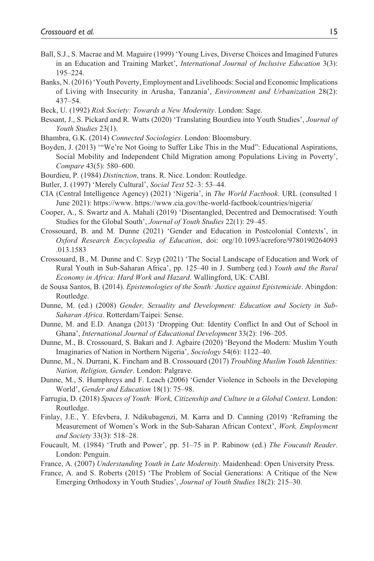- Ball, S.J., S. Macrae and M. Maguire (1999) 'Young Lives, Diverse Choices and Imagined Futures in an Education and Training Market', *International Journal of Inclusive Education* 3(3): 195–224.
- Banks, N. (2016) 'Youth Poverty, Employment and Livelihoods: Social and Economic Implications of Living with Insecurity in Arusha, Tanzania', *Environment and Urbanization* 28(2): 437–54.
- Beck, U. (1992) *Risk Society: Towards a New Modernity*. London: Sage.
- Bessant, J., S. Pickard and R. Watts (2020) 'Translating Bourdieu into Youth Studies', *Journal of Youth Studies* 23(1).
- Bhambra, G.K. (2014) *Connected Sociologies*. London: Bloomsbury.
- Boyden, J. (2013) '"We're Not Going to Suffer Like This in the Mud": Educational Aspirations, Social Mobility and Independent Child Migration among Populations Living in Poverty', *Compare* 43(5): 580–600.
- Bourdieu, P. (1984) *Distinction*, trans. R. Nice. London: Routledge.
- Butler, J. (1997) 'Merely Cultural', *Social Text* 52–3: 53–44.
- CIA (Central Intelligence Agency) (2021) 'Nigeria', in *The World Factbook*. URL (consulted 1 June 2021): <https://www>. <https://www.cia.gov/the-world-factbook/countries/nigeria/>
- Cooper, A., S. Swartz and A. Mahali (2019) 'Disentangled, Decentred and Democratised: Youth Studies for the Global South', *Journal of Youth Studies* 22(1): 29–45.
- Crossouard, B. and M. Dunne (2021) 'Gender and Education in Postcolonial Contexts', in *Oxford Research Encyclopedia of Education*, doi: org/10.1093/acrefore/9780190264093 .013.1583
- Crossouard, B., M. Dunne and C. Szyp (2021) 'The Social Landscape of Education and Work of Rural Youth in Sub-Saharan Africa', pp. 125–40 in J. Sumberg (ed.) *Youth and the Rural Economy in Africa: Hard Work and Hazard*. Wallingford, UK: CABI.
- de Sousa Santos, B. (2014). *Epistemologies of the South: Justice against Epistemicide*. Abingdon: Routledge.
- Dunne, M. (ed.) (2008) *Gender, Sexuality and Development: Education and Society in Sub-Saharan Africa*. Rotterdam/Taipei: Sense.
- Dunne, M. and E.D. Ananga (2013) 'Dropping Out: Identity Conflict In and Out of School in Ghana', *International Journal of Educational Development* 33(2): 196–205.
- Dunne, M., B. Crossouard, S. Bakari and J. Agbaire (2020) 'Beyond the Modern: Muslim Youth Imaginaries of Nation in Northern Nigeria', *Sociology* 54(6): 1122–40.
- Dunne, M., N. Durrani, K. Fincham and B. Crossouard (2017) *Troubling Muslim Youth Identities: Nation, Religion, Gender*. London: Palgrave.
- Dunne, M., S. Humphreys and F. Leach (2006) 'Gender Violence in Schools in the Developing World', *Gender and Education* 18(1): 75–98.
- Farrugia, D. (2018) *Spaces of Youth: Work, Citizenship and Culture in a Global Context*. London: Routledge.
- Finlay, J.E., Y. Efevbera, J. Ndikubagenzi, M. Karra and D. Canning (2019) 'Reframing the Measurement of Women's Work in the Sub-Saharan African Context', *Work, Employment and Society* 33(3): 518–28.
- Foucault, M. (1984) 'Truth and Power', pp. 51–75 in P. Rabinow (ed.) *The Foucault Reader*. London: Penguin.
- France, A. (2007) *Understanding Youth in Late Modernity*. Maidenhead: Open University Press.
- France, A. and S. Roberts (2015) 'The Problem of Social Generations: A Critique of the New Emerging Orthodoxy in Youth Studies', *Journal of Youth Studies* 18(2): 215–30.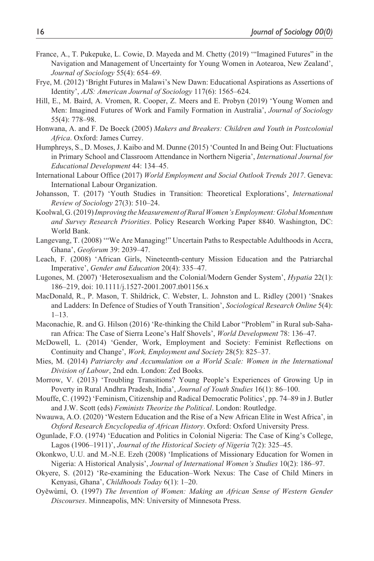- France, A., T. Pukepuke, L. Cowie, D. Mayeda and M. Chetty (2019) '"Imagined Futures" in the Navigation and Management of Uncertainty for Young Women in Aotearoa, New Zealand', *Journal of Sociology* 55(4): 654–69.
- Frye, M. (2012) 'Bright Futures in Malawi's New Dawn: Educational Aspirations as Assertions of Identity', *AJS: American Journal of Sociology* 117(6): 1565–624.
- Hill, E., M. Baird, A. Vromen, R. Cooper, Z. Meers and E. Probyn (2019) 'Young Women and Men: Imagined Futures of Work and Family Formation in Australia', *Journal of Sociology* 55(4): 778–98.
- Honwana, A. and F. De Boeck (2005) *Makers and Breakers: Children and Youth in Postcolonial Africa*. Oxford: James Currey.
- Humphreys, S., D. Moses, J. Kaibo and M. Dunne (2015) 'Counted In and Being Out: Fluctuations in Primary School and Classroom Attendance in Northern Nigeria', *International Journal for Educational Development* 44: 134–45.
- International Labour Office (2017) *World Employment and Social Outlook Trends 2017*. Geneva: International Labour Organization.
- Johansson, T. (2017) 'Youth Studies in Transition: Theoretical Explorations', *International Review of Sociology* 27(3): 510–24.
- Koolwal, G. (2019) *Improving the Measurement of Rural Women's Employment: Global Momentum and Survey Research Priorities*. Policy Research Working Paper 8840. Washington, DC: World Bank.
- Langevang, T. (2008) '"We Are Managing!" Uncertain Paths to Respectable Adulthoods in Accra, Ghana', *Geoforum* 39: 2039–47.
- Leach, F. (2008) 'African Girls, Nineteenth-century Mission Education and the Patriarchal Imperative', *Gender and Education* 20(4): 335–47.
- Lugones, M. (2007) 'Heterosexualism and the Colonial/Modern Gender System', *Hypatia* 22(1): 186–219, doi: 10.1111/j.1527-2001.2007.tb01156.x
- MacDonald, R., P. Mason, T. Shildrick, C. Webster, L. Johnston and L. Ridley (2001) 'Snakes and Ladders: In Defence of Studies of Youth Transition', *Sociological Research Online* 5(4): 1–13.
- Maconachie, R. and G. Hilson (2016) 'Re-thinking the Child Labor "Problem" in Rural sub-Saharan Africa: The Case of Sierra Leone's Half Shovels', *World Development* 78: 136–47.
- McDowell, L. (2014) 'Gender, Work, Employment and Society: Feminist Reflections on Continuity and Change', *Work, Employment and Society* 28(5): 825–37.
- Mies, M. (2014) *Patriarchy and Accumulation on a World Scale: Women in the International Division of Labour*, 2nd edn. London: Zed Books.
- Morrow, V. (2013) 'Troubling Transitions? Young People's Experiences of Growing Up in Poverty in Rural Andhra Pradesh, India', *Journal of Youth Studies* 16(1): 86–100.
- Mouffe, C. (1992) 'Feminism, Citizenship and Radical Democratic Politics', pp. 74–89 in J. Butler and J.W. Scott (eds) *Feminists Theorize the Political*. London: Routledge.
- Nwauwa, A.O. (2020) 'Western Education and the Rise of a New African Elite in West Africa', in *Oxford Research Encyclopedia of African History*. Oxford: Oxford University Press.
- Ogunlade, F.O. (1974) 'Education and Politics in Colonial Nigeria: The Case of King's College, Lagos (1906–1911)', *Journal of the Historical Society of Nigeria* 7(2): 325–45.
- Okonkwo, U.U. and M.-N.E. Ezeh (2008) 'Implications of Missionary Education for Women in Nigeria: A Historical Analysis', *Journal of International Women's Studies* 10(2): 186–97.
- Okyere, S. (2012) 'Re-examining the Education–Work Nexus: The Case of Child Miners in Kenyasi, Ghana', *Childhoods Today* 6(1): 1–20.
- Oyěwùmí, O. (1997) *The Invention of Women: Making an African Sense of Western Gender Discourses*. Minneapolis, MN: University of Minnesota Press.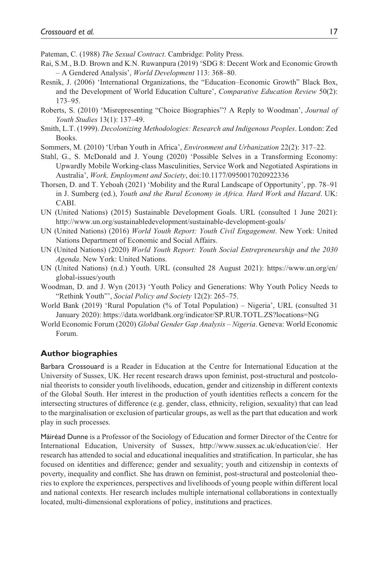Pateman, C. (1988) *The Sexual Contract*. Cambridge: Polity Press.

- Rai, S.M., B.D. Brown and K.N. Ruwanpura (2019) 'SDG 8: Decent Work and Economic Growth – A Gendered Analysis', *World Development* 113: 368–80.
- Resnik, J. (2006) 'International Organizations, the "Education–Economic Growth" Black Box, and the Development of World Education Culture', *Comparative Education Review* 50(2): 173–95.
- Roberts, S. (2010) 'Misrepresenting "Choice Biographies"? A Reply to Woodman', *Journal of Youth Studies* 13(1): 137–49.
- Smith, L.T. (1999). *Decolonizing Methodologies: Research and Indigenous Peoples*. London: Zed Books.
- Sommers, M. (2010) 'Urban Youth in Africa', *Environment and Urbanization* 22(2): 317–22.
- Stahl, G., S. McDonald and J. Young (2020) 'Possible Selves in a Transforming Economy: Upwardly Mobile Working-class Masculinities, Service Work and Negotiated Aspirations in Australia', *Work, Employment and Society*, doi:10.1177/0950017020922336
- Thorsen, D. and T. Yeboah (2021) 'Mobility and the Rural Landscape of Opportunity', pp. 78–91 in J. Sumberg (ed.), *Youth and the Rural Economy in Africa. Hard Work and Hazard*. UK: CABI.
- UN (United Nations) (2015) Sustainable Development Goals. URL (consulted 1 June 2021): <http://www.un.org/sustainabledevelopment/sustainable-development-goals/>
- UN (United Nations) (2016) *World Youth Report: Youth Civil Engagement*. New York: United Nations Department of Economic and Social Affairs.
- UN (United Nations) (2020) *World Youth Report: Youth Social Entrepreneurship and the 2030 Agenda*. New York: United Nations.
- UN (United Nations) (n.d.) Youth. URL (consulted 28 August 2021): [https://www.un.org/en/](https://www.un.org/en/global-issues/youth) [global-issues/youth](https://www.un.org/en/global-issues/youth)
- Woodman, D. and J. Wyn (2013) 'Youth Policy and Generations: Why Youth Policy Needs to "Rethink Youth"', *Social Policy and Society* 12(2): 265–75.
- World Bank (2019) 'Rural Population (% of Total Population) Nigeria', URL (consulted 31 January 2020):<https://data.worldbank.org/indicator/SP.RUR.TOTL.ZS?locations=NG>
- World Economic Forum (2020) *Global Gender Gap Analysis Nigeria*. Geneva: World Economic Forum.

#### **Author biographies**

Barbara Crossouard is a Reader in Education at the Centre for International Education at the University of Sussex, UK. Her recent research draws upon feminist, post-structural and postcolonial theorists to consider youth livelihoods, education, gender and citizenship in different contexts of the Global South. Her interest in the production of youth identities reflects a concern for the intersecting structures of difference (e.g. gender, class, ethnicity, religion, sexuality) that can lead to the marginalisation or exclusion of particular groups, as well as the part that education and work play in such processes.

Máiréad Dunne is a Professor of the Sociology of Education and former Director of the Centre for International Education, University of Sussex, [http://www.sussex.ac.uk/education/cie/.](http://www.sussex.ac.uk/education/cie/) Her research has attended to social and educational inequalities and stratification. In particular, she has focused on identities and difference; gender and sexuality; youth and citizenship in contexts of poverty, inequality and conflict. She has drawn on feminist, post-structural and postcolonial theories to explore the experiences, perspectives and livelihoods of young people within different local and national contexts. Her research includes multiple international collaborations in contextually located, multi-dimensional explorations of policy, institutions and practices.